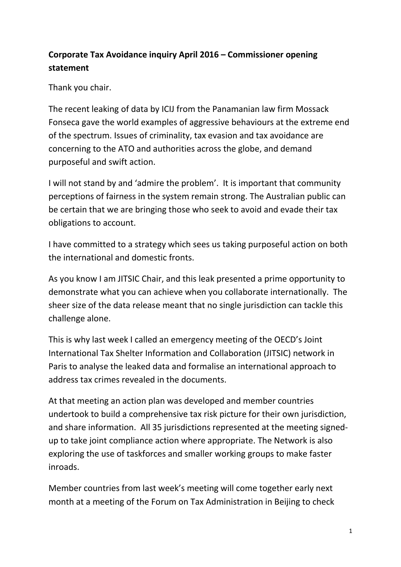## **Corporate Tax Avoidance inquiry April 2016 – Commissioner opening statement**

Thank you chair.

The recent leaking of data by ICIJ from the Panamanian law firm Mossack Fonseca gave the world examples of aggressive behaviours at the extreme end of the spectrum. Issues of criminality, tax evasion and tax avoidance are concerning to the ATO and authorities across the globe, and demand purposeful and swift action.

I will not stand by and 'admire the problem'. It is important that community perceptions of fairness in the system remain strong. The Australian public can be certain that we are bringing those who seek to avoid and evade their tax obligations to account.

I have committed to a strategy which sees us taking purposeful action on both the international and domestic fronts.

As you know I am JITSIC Chair, and this leak presented a prime opportunity to demonstrate what you can achieve when you collaborate internationally. The sheer size of the data release meant that no single jurisdiction can tackle this challenge alone.

This is why last week I called an emergency meeting of the OECD's Joint International Tax Shelter Information and Collaboration (JITSIC) network in Paris to analyse the leaked data and formalise an international approach to address tax crimes revealed in the documents.

At that meeting an action plan was developed and member countries undertook to build a comprehensive tax risk picture for their own jurisdiction, and share information. All 35 jurisdictions represented at the meeting signedup to take joint compliance action where appropriate. The Network is also exploring the use of taskforces and smaller working groups to make faster inroads.

Member countries from last week's meeting will come together early next month at a meeting of the Forum on Tax Administration in Beijing to check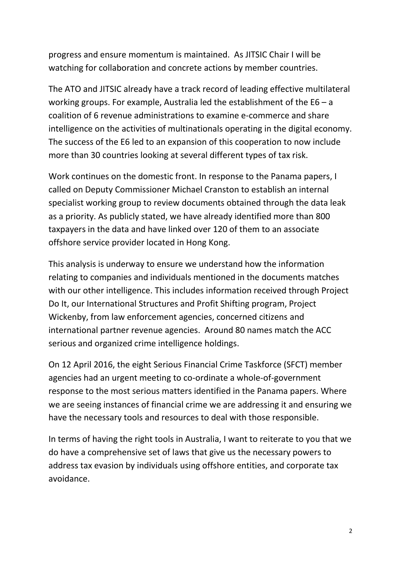progress and ensure momentum is maintained. As JITSIC Chair I will be watching for collaboration and concrete actions by member countries.

The ATO and JITSIC already have a track record of leading effective multilateral working groups. For example, Australia led the establishment of the E6 – a coalition of 6 revenue administrations to examine e-commerce and share intelligence on the activities of multinationals operating in the digital economy. The success of the E6 led to an expansion of this cooperation to now include more than 30 countries looking at several different types of tax risk.

Work continues on the domestic front. In response to the Panama papers, I called on Deputy Commissioner Michael Cranston to establish an internal specialist working group to review documents obtained through the data leak as a priority. As publicly stated, we have already identified more than 800 taxpayers in the data and have linked over 120 of them to an associate offshore service provider located in Hong Kong.

This analysis is underway to ensure we understand how the information relating to companies and individuals mentioned in the documents matches with our other intelligence. This includes information received through Project Do It, our International Structures and Profit Shifting program, Project Wickenby, from law enforcement agencies, concerned citizens and international partner revenue agencies. Around 80 names match the ACC serious and organized crime intelligence holdings.

On 12 April 2016, the eight Serious Financial Crime Taskforce (SFCT) member agencies had an urgent meeting to co-ordinate a whole-of-government response to the most serious matters identified in the Panama papers. Where we are seeing instances of financial crime we are addressing it and ensuring we have the necessary tools and resources to deal with those responsible.

In terms of having the right tools in Australia, I want to reiterate to you that we do have a comprehensive set of laws that give us the necessary powers to address tax evasion by individuals using offshore entities, and corporate tax avoidance.